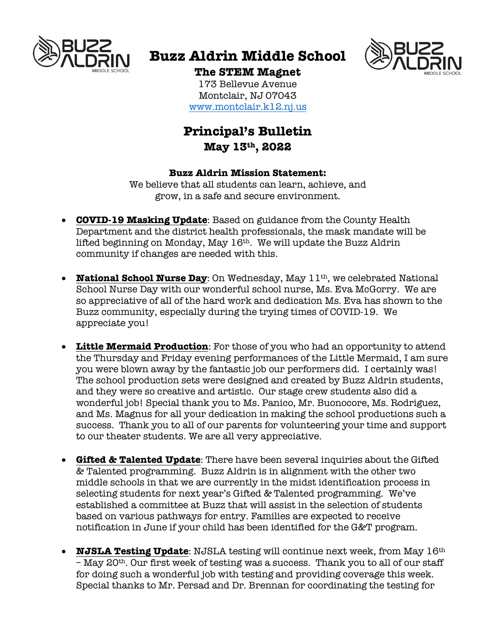

# **Buzz Aldrin Middle School**



## **The STEM Magnet**

173 Bellevue Avenue Montclair, NJ 07043 www.montclair.k12.nj.us

### **Principal's Bulletin May 13th, 2022**

#### **Buzz Aldrin Mission Statement:**

We believe that all students can learn, achieve, and grow, in a safe and secure environment.

- **COVID-19 Masking Update**: Based on guidance from the County Health Department and the district health professionals, the mask mandate will be lifted beginning on Monday, May  $16<sup>th</sup>$ . We will update the Buzz Aldrin community if changes are needed with this.
- **National School Nurse Day**: On Wednesday, May 11<sup>th</sup>, we celebrated National School Nurse Day with our wonderful school nurse, Ms. Eva McGorry. We are so appreciative of all of the hard work and dedication Ms. Eva has shown to the Buzz community, especially during the trying times of COVID-19. We appreciate you!
- **Little Mermaid Production**: For those of you who had an opportunity to attend the Thursday and Friday evening performances of the Little Mermaid, I am sure you were blown away by the fantastic job our performers did. I certainly was! The school production sets were designed and created by Buzz Aldrin students, and they were so creative and artistic. Our stage crew students also did a wonderful job! Special thank you to Ms. Panico, Mr. Buonocore, Ms. Rodriguez, and Ms. Magnus for all your dedication in making the school productions such a success. Thank you to all of our parents for volunteering your time and support to our theater students. We are all very appreciative.
- **Gifted & Talented Update**: There have been several inquiries about the Gifted & Talented programming. Buzz Aldrin is in alignment with the other two middle schools in that we are currently in the midst identification process in selecting students for next year's Gifted & Talented programming. We've established a committee at Buzz that will assist in the selection of students based on various pathways for entry. Families are expected to receive notification in June if your child has been identified for the G&T program.
- **NJSLA Testing Update**: NJSLA testing will continue next week, from May 16th – May 20th. Our first week of testing was a success. Thank you to all of our staff for doing such a wonderful job with testing and providing coverage this week. Special thanks to Mr. Persad and Dr. Brennan for coordinating the testing for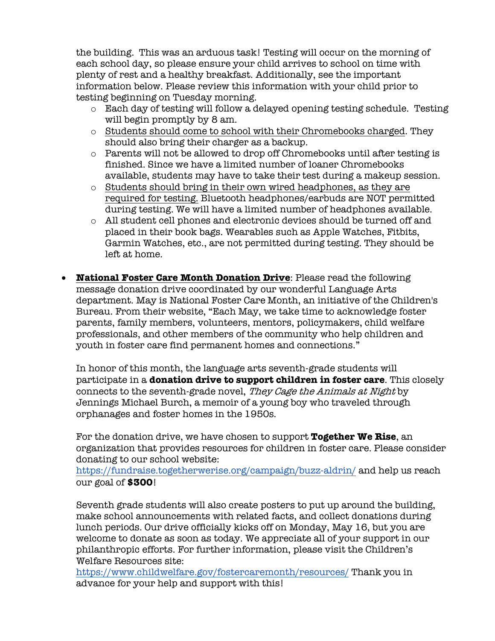the building. This was an arduous task! Testing will occur on the morning of each school day, so please ensure your child arrives to school on time with plenty of rest and a healthy breakfast. Additionally, see the important information below. Please review this information with your child prior to testing beginning on Tuesday morning.

- $\circ$  Each day of testing will follow a delayed opening testing schedule. Testing will begin promptly by 8 am.
- $\circ$  Students should come to school with their Chromebooks charged. They should also bring their charger as a backup.
- o Parents will not be allowed to drop off Chromebooks until after testing is finished. Since we have a limited number of loaner Chromebooks available, students may have to take their test during a makeup session.
- o Students should bring in their own wired headphones, as they are required for testing. Bluetooth headphones/earbuds are NOT permitted during testing. We will have a limited number of headphones available.
- o All student cell phones and electronic devices should be turned off and placed in their book bags. Wearables such as Apple Watches, Fitbits, Garmin Watches, etc., are not permitted during testing. They should be left at home.
- **National Foster Care Month Donation Drive**: Please read the following message donation drive coordinated by our wonderful Language Arts department. May is National Foster Care Month, an initiative of the Children's Bureau. From their website, "Each May, we take time to acknowledge foster parents, family members, volunteers, mentors, policymakers, child welfare professionals, and other members of the community who help children and youth in foster care find permanent homes and connections."

In honor of this month, the language arts seventh-grade students will participate in a **donation drive to support children in foster care**. This closely connects to the seventh-grade novel, They Cage the Animals at Night by Jennings Michael Burch, a memoir of a young boy who traveled through orphanages and foster homes in the 1950s.

For the donation drive, we have chosen to support **Together We Rise**, an organization that provides resources for children in foster care. Please consider donating to our school website:

https://fundraise.togetherwerise.org/campaign/buzz-aldrin/ and help us reach our goal of **\$300**!

Seventh grade students will also create posters to put up around the building, make school announcements with related facts, and collect donations during lunch periods. Our drive officially kicks off on Monday, May 16, but you are welcome to donate as soon as today. We appreciate all of your support in our philanthropic efforts. For further information, please visit the Children's Welfare Resources site:

https://www.childwelfare.gov/fostercaremonth/resources/ Thank you in advance for your help and support with this!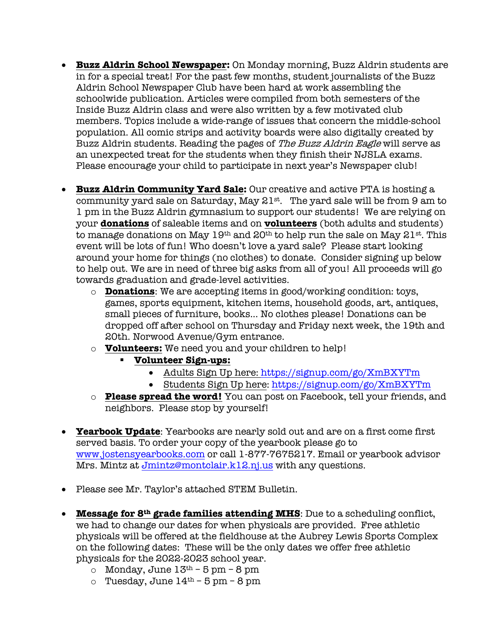- **Buzz Aldrin School Newspaper:** On Monday morning, Buzz Aldrin students are in for a special treat! For the past few months, student journalists of the Buzz Aldrin School Newspaper Club have been hard at work assembling the schoolwide publication. Articles were compiled from both semesters of the Inside Buzz Aldrin class and were also written by a few motivated club members. Topics include a wide-range of issues that concern the middle-school population. All comic strips and activity boards were also digitally created by Buzz Aldrin students. Reading the pages of The Buzz Aldrin Eagle will serve as an unexpected treat for the students when they finish their NJSLA exams. Please encourage your child to participate in next year's Newspaper club!
- **Buzz Aldrin Community Yard Sale:** Our creative and active PTA is hosting a community yard sale on Saturday, May  $21^{st}$ . The yard sale will be from 9 am to 1 pm in the Buzz Aldrin gymnasium to support our students! We are relying on your **donations** of saleable items and on **volunteers** (both adults and students) to manage donations on May  $19<sup>th</sup>$  and  $20<sup>th</sup>$  to help run the sale on May  $21<sup>st</sup>$ . This event will be lots of fun! Who doesn't love a yard sale? Please start looking around your home for things (no clothes) to donate. Consider signing up below to help out. We are in need of three big asks from all of you! All proceeds will go towards graduation and grade-level activities.
	- o **Donations**: We are accepting items in good/working condition: toys, games, sports equipment, kitchen items, household goods, art, antiques, small pieces of furniture, books... No clothes please! Donations can be dropped off after school on Thursday and Friday next week, the 19th and 20th. Norwood Avenue/Gym entrance.
	- o **Volunteers:** We need you and your children to help!
		- § **Volunteer Sign-ups:**
			- Adults Sign Up here: https://signup.com/go/XmBXYTm
			- Students Sign Up here: https://signup.com/go/XmBXYTm
	- o **Please spread the word!** You can post on Facebook, tell your friends, and neighbors. Please stop by yourself!
- **Yearbook Update**: Yearbooks are nearly sold out and are on a first come first served basis. To order your copy of the yearbook please go to www.jostensyearbooks.com or call 1-877-7675217. Email or yearbook advisor Mrs. Mintz at Jmintz@montclair.k12.nj.us with any questions.
- Please see Mr. Taylor's attached STEM Bulletin.
- **Message for 8th grade families attending MHS**: Due to a scheduling conflict, we had to change our dates for when physicals are provided. Free athletic physicals will be offered at the fieldhouse at the Aubrey Lewis Sports Complex on the following dates: These will be the only dates we offer free athletic physicals for the 2022-2023 school year.
	- o Monday, June  $13<sup>th</sup> 5$  pm  $8$  pm
	- o Tuesday, June  $14<sup>th</sup>$  5 pm 8 pm